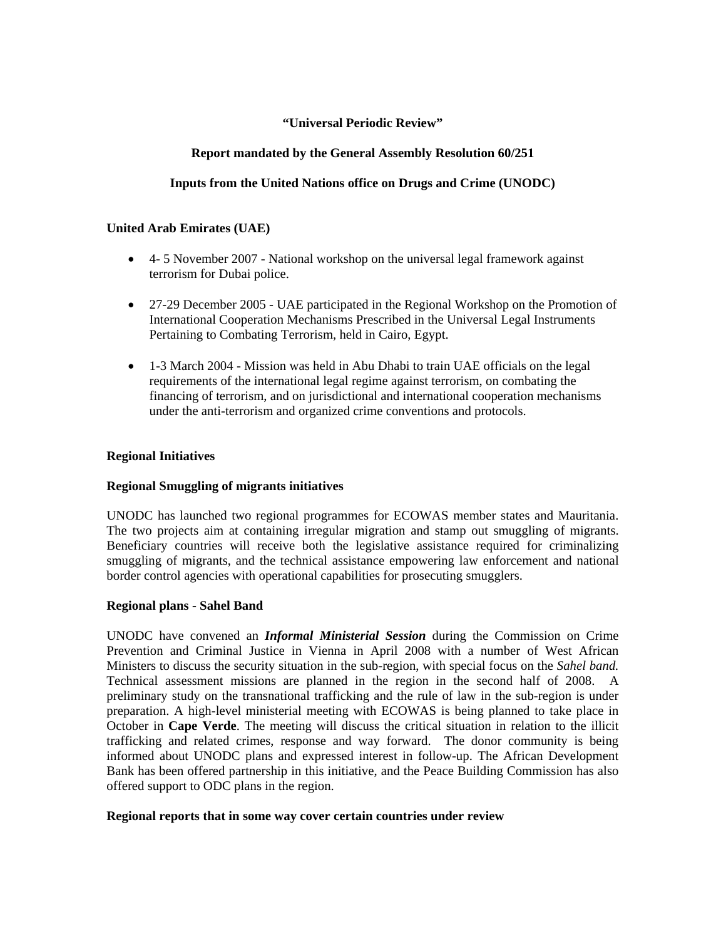### **"Universal Periodic Review"**

## **Report mandated by the General Assembly Resolution 60/251**

# **Inputs from the United Nations office on Drugs and Crime (UNODC)**

### **United Arab Emirates (UAE)**

- 4- 5 November 2007 National workshop on the universal legal framework against terrorism for Dubai police.
- 27-29 December 2005 UAE participated in the Regional Workshop on the Promotion of International Cooperation Mechanisms Prescribed in the Universal Legal Instruments Pertaining to Combating Terrorism, held in Cairo, Egypt.
- 1-3 March 2004 Mission was held in Abu Dhabi to train UAE officials on the legal requirements of the international legal regime against terrorism, on combating the financing of terrorism, and on jurisdictional and international cooperation mechanisms under the anti-terrorism and organized crime conventions and protocols.

#### **Regional Initiatives**

### **Regional Smuggling of migrants initiatives**

UNODC has launched two regional programmes for ECOWAS member states and Mauritania. The two projects aim at containing irregular migration and stamp out smuggling of migrants. Beneficiary countries will receive both the legislative assistance required for criminalizing smuggling of migrants, and the technical assistance empowering law enforcement and national border control agencies with operational capabilities for prosecuting smugglers.

### **Regional plans - Sahel Band**

UNODC have convened an *Informal Ministerial Session* during the Commission on Crime Prevention and Criminal Justice in Vienna in April 2008 with a number of West African Ministers to discuss the security situation in the sub-region, with special focus on the *Sahel band.*  Technical assessment missions are planned in the region in the second half of 2008. A preliminary study on the transnational trafficking and the rule of law in the sub-region is under preparation. A high-level ministerial meeting with ECOWAS is being planned to take place in October in **Cape Verde**. The meeting will discuss the critical situation in relation to the illicit trafficking and related crimes, response and way forward. The donor community is being informed about UNODC plans and expressed interest in follow-up. The African Development Bank has been offered partnership in this initiative, and the Peace Building Commission has also offered support to ODC plans in the region.

#### **Regional reports that in some way cover certain countries under review**